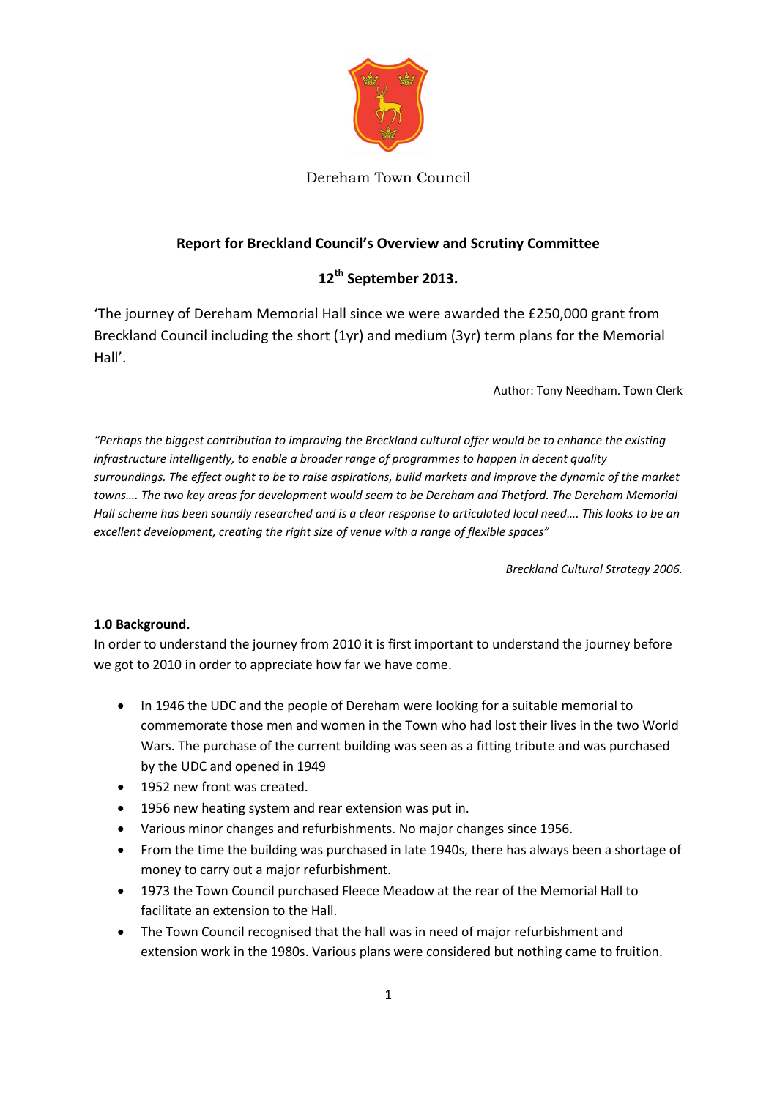

Dereham Town Council

# **Report for Breckland Council's Overview and Scrutiny Committee**

# **12th September 2013.**

'The journey of Dereham Memorial Hall since we were awarded the £250,000 grant from Breckland Council including the short (1yr) and medium (3yr) term plans for the Memorial Hall'.

Author: Tony Needham. Town Clerk

*"Perhaps the biggest contribution to improving the Breckland cultural offer would be to enhance the existing infrastructure intelligently, to enable a broader range of programmes to happen in decent quality surroundings. The effect ought to be to raise aspirations, build markets and improve the dynamic of the market towns…. The two key areas for development would seem to be Dereham and Thetford. The Dereham Memorial Hall scheme has been soundly researched and is a clear response to articulated local need…. This looks to be an excellent development, creating the right size of venue with a range of flexible spaces"*

*Breckland Cultural Strategy 2006.* 

## **1.0 Background.**

In order to understand the journey from 2010 it is first important to understand the journey before we got to 2010 in order to appreciate how far we have come.

- In 1946 the UDC and the people of Dereham were looking for a suitable memorial to commemorate those men and women in the Town who had lost their lives in the two World Wars. The purchase of the current building was seen as a fitting tribute and was purchased by the UDC and opened in 1949
- 1952 new front was created.
- 1956 new heating system and rear extension was put in.
- Various minor changes and refurbishments. No major changes since 1956.
- From the time the building was purchased in late 1940s, there has always been a shortage of money to carry out a major refurbishment.
- 1973 the Town Council purchased Fleece Meadow at the rear of the Memorial Hall to facilitate an extension to the Hall.
- The Town Council recognised that the hall was in need of major refurbishment and extension work in the 1980s. Various plans were considered but nothing came to fruition.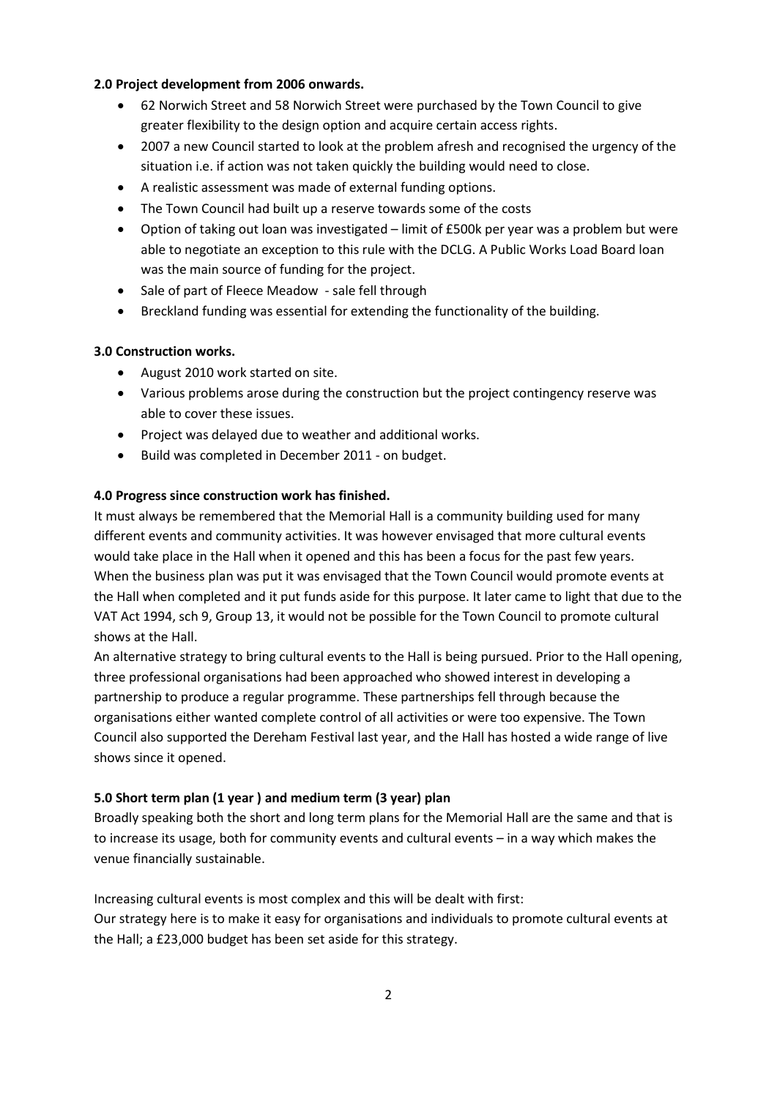#### **2.0 Project development from 2006 onwards.**

- 62 Norwich Street and 58 Norwich Street were purchased by the Town Council to give greater flexibility to the design option and acquire certain access rights.
- 2007 a new Council started to look at the problem afresh and recognised the urgency of the situation i.e. if action was not taken quickly the building would need to close.
- A realistic assessment was made of external funding options.
- The Town Council had built up a reserve towards some of the costs
- Option of taking out loan was investigated limit of £500k per year was a problem but were able to negotiate an exception to this rule with the DCLG. A Public Works Load Board loan was the main source of funding for the project.
- Sale of part of Fleece Meadow sale fell through
- Breckland funding was essential for extending the functionality of the building.

## **3.0 Construction works.**

- August 2010 work started on site.
- Various problems arose during the construction but the project contingency reserve was able to cover these issues.
- Project was delayed due to weather and additional works.
- Build was completed in December 2011 on budget.

### **4.0 Progress since construction work has finished.**

It must always be remembered that the Memorial Hall is a community building used for many different events and community activities. It was however envisaged that more cultural events would take place in the Hall when it opened and this has been a focus for the past few years. When the business plan was put it was envisaged that the Town Council would promote events at the Hall when completed and it put funds aside for this purpose. It later came to light that due to the VAT Act 1994, sch 9, Group 13, it would not be possible for the Town Council to promote cultural shows at the Hall.

An alternative strategy to bring cultural events to the Hall is being pursued. Prior to the Hall opening, three professional organisations had been approached who showed interest in developing a partnership to produce a regular programme. These partnerships fell through because the organisations either wanted complete control of all activities or were too expensive. The Town Council also supported the Dereham Festival last year, and the Hall has hosted a wide range of live shows since it opened.

## **5.0 Short term plan (1 year ) and medium term (3 year) plan**

Broadly speaking both the short and long term plans for the Memorial Hall are the same and that is to increase its usage, both for community events and cultural events – in a way which makes the venue financially sustainable.

Increasing cultural events is most complex and this will be dealt with first: Our strategy here is to make it easy for organisations and individuals to promote cultural events at the Hall; a £23,000 budget has been set aside for this strategy.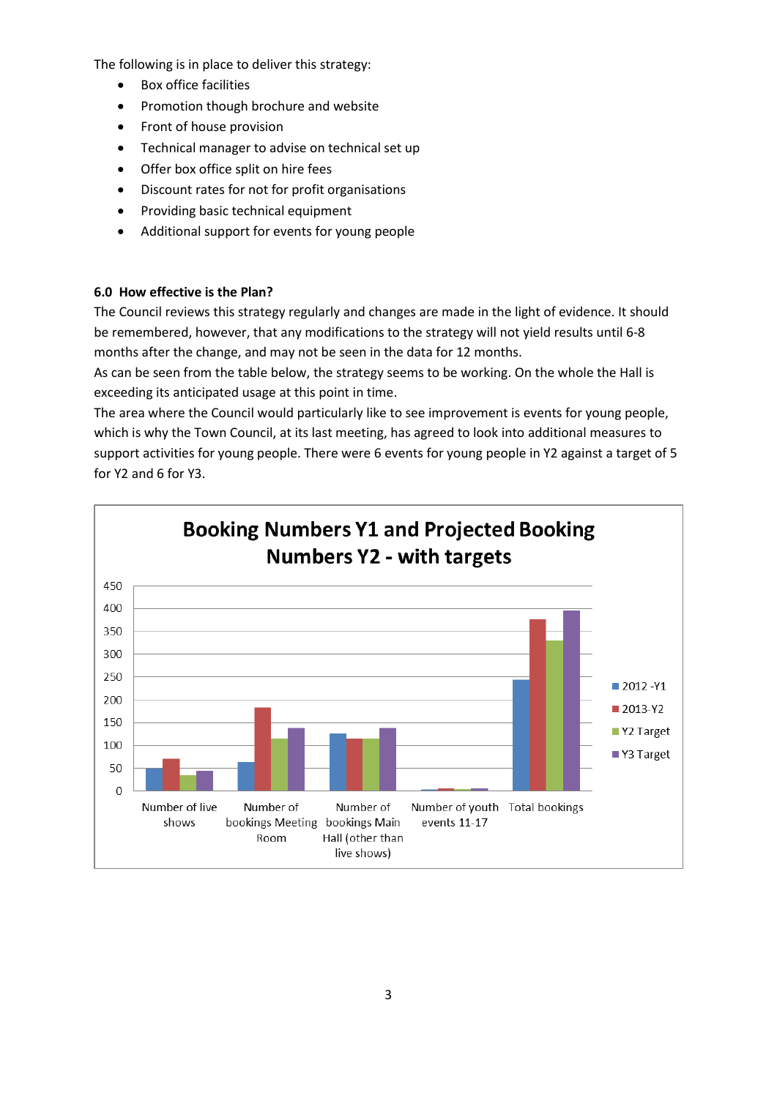The following is in place to deliver this strategy:

- Box office facilities
- Promotion though brochure and website
- Front of house provision
- Technical manager to advise on technical set up
- Offer box office split on hire fees
- Discount rates for not for profit organisations
- Providing basic technical equipment
- Additional support for events for young people

### **6.0 How effective is the Plan?**

The Council reviews this strategy regularly and changes are made in the light of evidence. It should be remembered, however, that any modifications to the strategy will not yield results until 6-8 months after the change, and may not be seen in the data for 12 months.

As can be seen from the table below, the strategy seems to be working. On the whole the Hall is exceeding its anticipated usage at this point in time.

The area where the Council would particularly like to see improvement is events for young people, which is why the Town Council, at its last meeting, has agreed to look into additional measures to support activities for young people. There were 6 events for young people in Y2 against a target of 5 for Y2 and 6 for Y3.

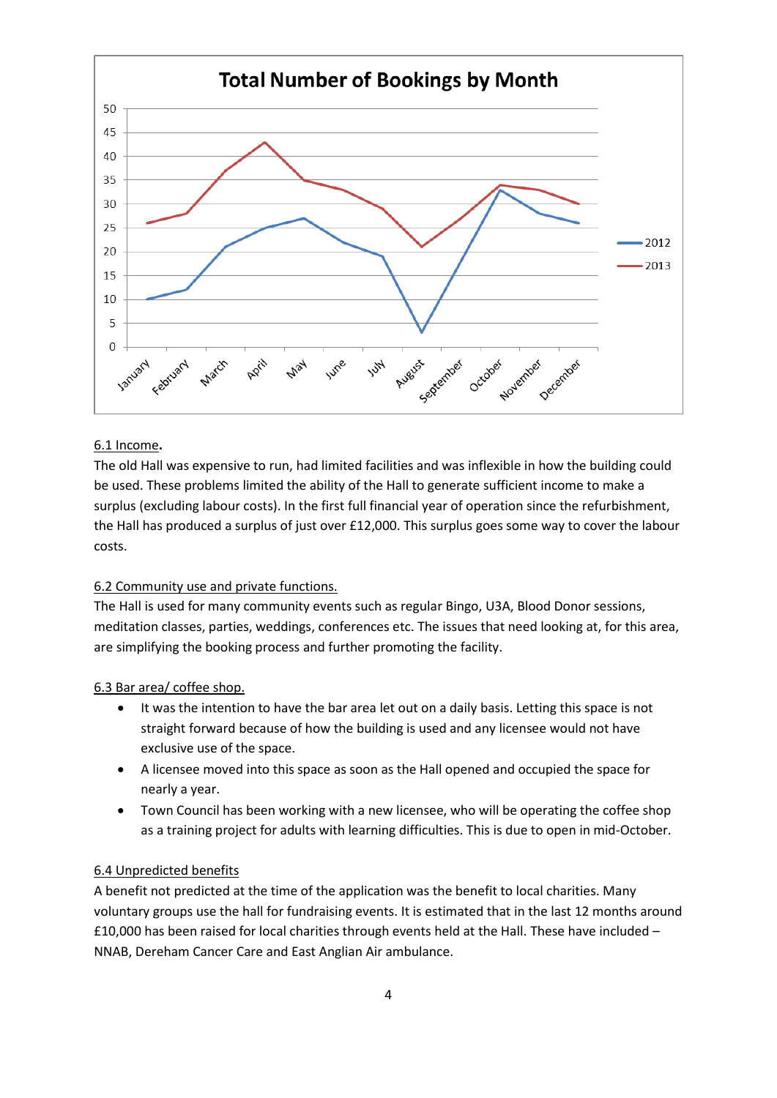

### 6.1 Income**.**

The old Hall was expensive to run, had limited facilities and was inflexible in how the building could be used. These problems limited the ability of the Hall to generate sufficient income to make a surplus (excluding labour costs). In the first full financial year of operation since the refurbishment, the Hall has produced a surplus of just over £12,000. This surplus goes some way to cover the labour costs.

## 6.2 Community use and private functions.

The Hall is used for many community events such as regular Bingo, U3A, Blood Donor sessions, meditation classes, parties, weddings, conferences etc. The issues that need looking at, for this area, are simplifying the booking process and further promoting the facility.

#### 6.3 Bar area/ coffee shop.

- It was the intention to have the bar area let out on a daily basis. Letting this space is not straight forward because of how the building is used and any licensee would not have exclusive use of the space.
- A licensee moved into this space as soon as the Hall opened and occupied the space for nearly a year.
- Town Council has been working with a new licensee, who will be operating the coffee shop as a training project for adults with learning difficulties. This is due to open in mid-October.

#### 6.4 Unpredicted benefits

A benefit not predicted at the time of the application was the benefit to local charities. Many voluntary groups use the hall for fundraising events. It is estimated that in the last 12 months around £10,000 has been raised for local charities through events held at the Hall. These have included – NNAB, Dereham Cancer Care and East Anglian Air ambulance.